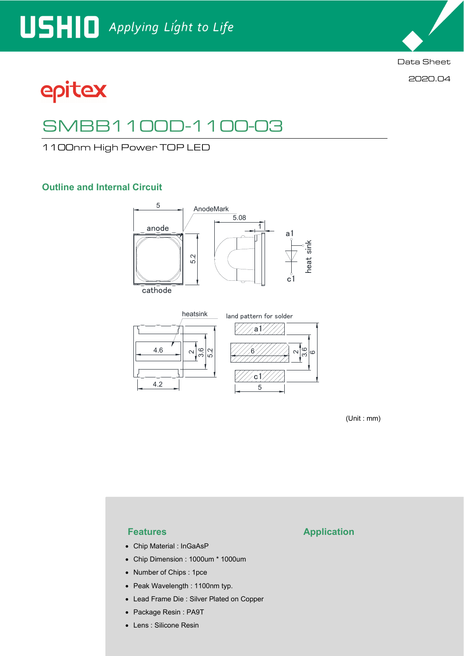

2020.04

# epitex

## SMBB1100D-1100-03

1100nm High Power TOP LED

### **Outline and Internal Circuit**



cathode





(Unit : mm)

- Chip Material : InGaAsP
- Chip Dimension : 1000um \* 1000um
- Number of Chips : 1pce
- Peak Wavelength : 1100nm typ.
- Lead Frame Die : Silver Plated on Copper
- Package Resin : PA9T
- Lens : Silicone Resin

### **Features Application**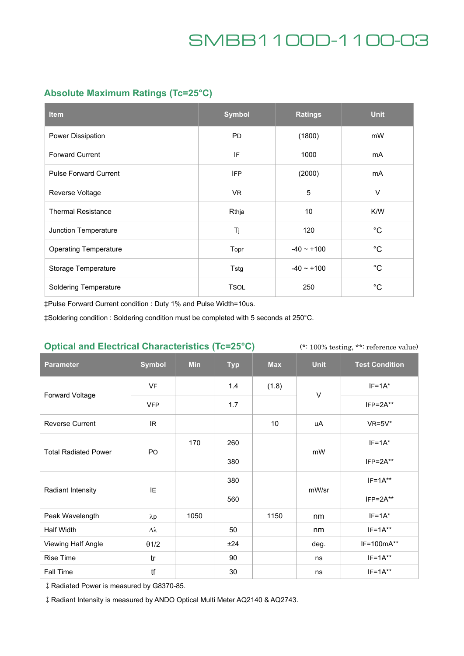### **Absolute Maximum Ratings (Tc=25°C)**

| <b>Item</b>                  | <b>Symbol</b> | <b>Ratings</b> | <b>Unit</b> |
|------------------------------|---------------|----------------|-------------|
| Power Dissipation            | <b>PD</b>     | (1800)         | mW          |
| <b>Forward Current</b>       | IF            | 1000           | mA          |
| <b>Pulse Forward Current</b> | <b>IFP</b>    | (2000)         | mA          |
| Reverse Voltage              | VR.           | 5              | $\vee$      |
| <b>Thermal Resistance</b>    | Rthja         | 10             | K/W         |
| Junction Temperature         | Tj            | 120            | $^{\circ}C$ |
| <b>Operating Temperature</b> | Topr          | $-40 - +100$   | $^{\circ}C$ |
| Storage Temperature          | Tstg          | $-40 - +100$   | $^{\circ}C$ |
| <b>Soldering Temperature</b> | <b>TSOL</b>   | 250            | $^{\circ}C$ |

‡Pulse Forward Current condition : Duty 1% and Pulse Width=10us.

‡Soldering condition : Soldering condition must be completed with 5 seconds at 250°C.

#### **Optical and Electrical Characteristics (Tc=25°C)**

(\*: 100% testing, \*\*: reference value)

| <b>Parameter</b>            | <b>Symbol</b>    | <b>Min</b> | <b>Typ</b> | <b>Max</b> | <b>Unit</b> | <b>Test Condition</b> |
|-----------------------------|------------------|------------|------------|------------|-------------|-----------------------|
| Forward Voltage             | <b>VF</b>        |            | 1.4        | (1.8)      | $\vee$      | $IF=1A*$              |
|                             | <b>VFP</b>       |            | 1.7        |            |             | $IFP = 2A**$          |
| <b>Reverse Current</b>      | IR.              |            |            | 10         | uA          | $VR=5V*$              |
| <b>Total Radiated Power</b> | PO               | 170        | 260        |            | mW          | $IF=1A*$              |
|                             |                  |            | 380        |            |             | $IFP = 2A**$          |
| <b>Radiant Intensity</b>    | IE               |            | 380        |            | mW/sr       | $IF=1A**$             |
|                             |                  |            | 560        |            |             | $IFP = 2A**$          |
| Peak Wavelength             | $\lambda p$      | 1050       |            | 1150       | nm          | $IF=1A*$              |
| Half Width                  | $\Delta \lambda$ |            | 50         |            | nm          | $IF=1A**$             |
| Viewing Half Angle          | $\theta$ 1/2     |            | ±24        |            | deg.        | IF=100mA**            |
| Rise Time                   | tr               |            | 90         |            | ns          | $IF=1A**$             |
| Fall Time                   | tf               |            | 30         |            | ns          | $IF=1A***$            |

‡Radiated Power is measured by G8370-85.

‡Radiant Intensity is measured by ANDO Optical Multi Meter AQ2140 & AQ2743.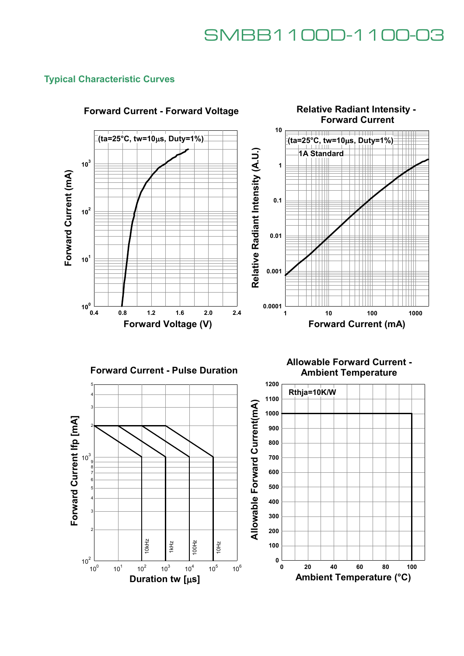**Relative Radiant Intensity -** 

### **Typical Characteristic Curves**



### **Forward Current - Forward Voltage**





**Allowable Forward Current - Ambient Temperature**

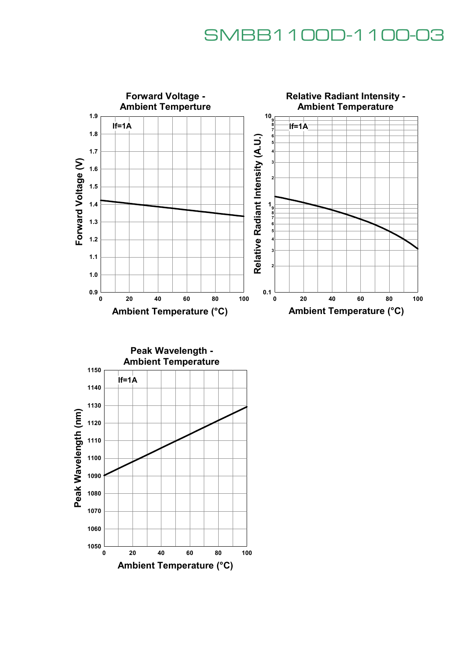

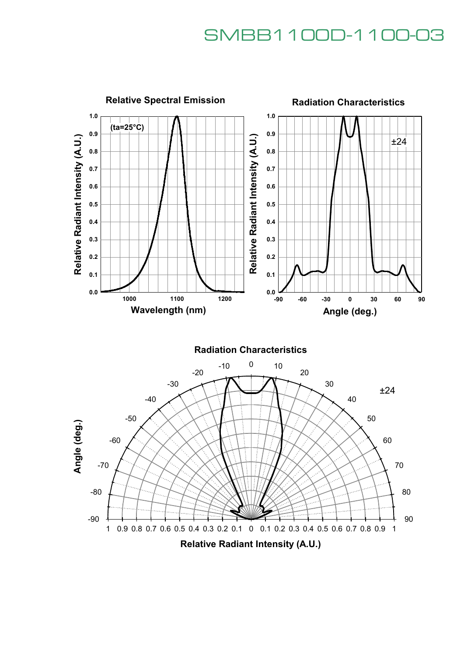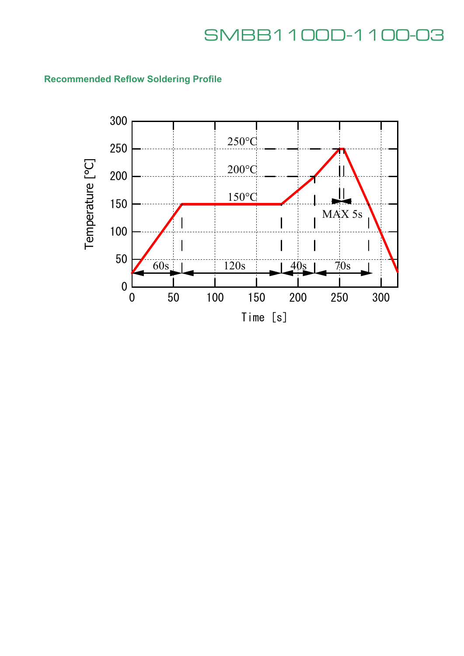### **Recommended Reflow Soldering Profile**

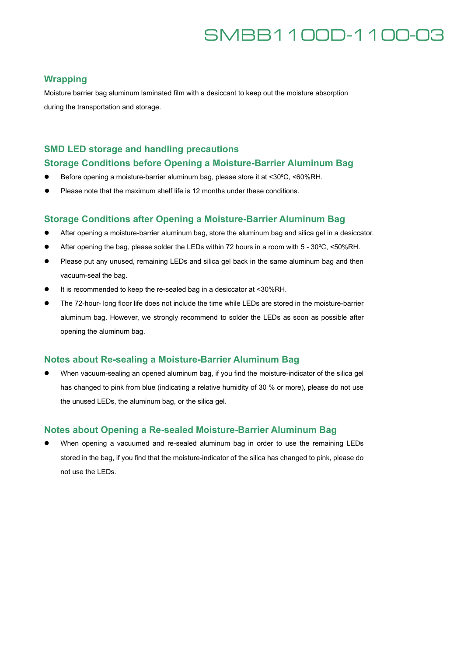#### **Wrapping**

Moisture barrier bag aluminum laminated film with a desiccant to keep out the moisture absorption during the transportation and storage.

### **SMD LED storage and handling precautions**

#### **Storage Conditions before Opening a Moisture-Barrier Aluminum Bag**

- Before opening a moisture-barrier aluminum bag, please store it at <30°C, <60%RH.
- Please note that the maximum shelf life is 12 months under these conditions.

#### **Storage Conditions after Opening a Moisture-Barrier Aluminum Bag**

- After opening a moisture-barrier aluminum bag, store the aluminum bag and silica gel in a desiccator.
- After opening the bag, please solder the LEDs within 72 hours in a room with 5 30°C, <50%RH.
- Please put any unused, remaining LEDs and silica gel back in the same aluminum bag and then vacuum-seal the bag.
- It is recommended to keep the re-sealed bag in a desiccator at <30%RH.
- The 72-hour- long floor life does not include the time while LEDs are stored in the moisture-barrier aluminum bag. However, we strongly recommend to solder the LEDs as soon as possible after opening the aluminum bag.

#### **Notes about Re-sealing a Moisture-Barrier Aluminum Bag**

 When vacuum-sealing an opened aluminum bag, if you find the moisture-indicator of the silica gel has changed to pink from blue (indicating a relative humidity of 30 % or more), please do not use the unused LEDs, the aluminum bag, or the silica gel.

#### **Notes about Opening a Re-sealed Moisture-Barrier Aluminum Bag**

 When opening a vacuumed and re-sealed aluminum bag in order to use the remaining LEDs stored in the bag, if you find that the moisture-indicator of the silica has changed to pink, please do not use the LEDs.